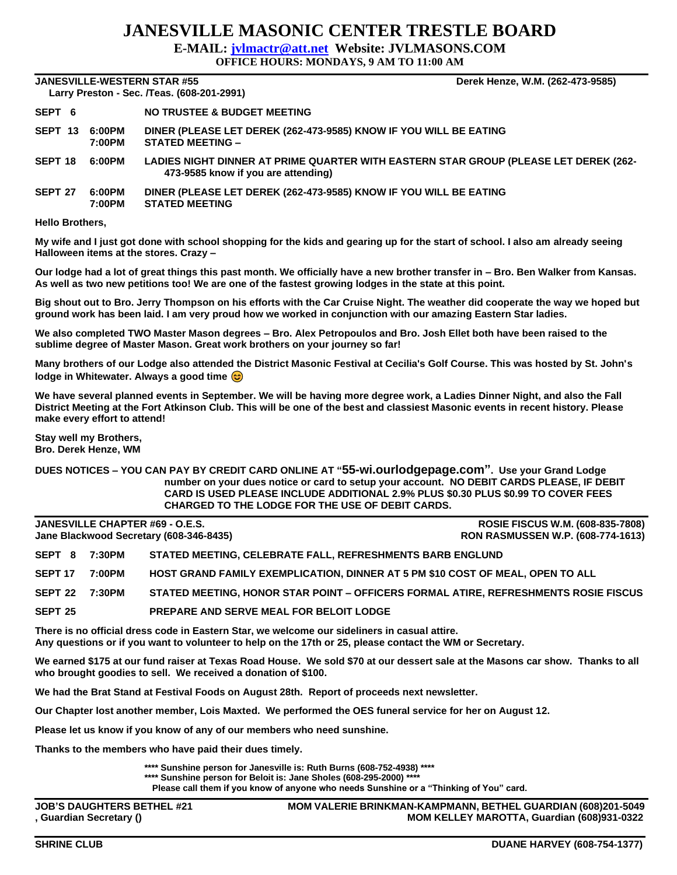## **JANESVILLE MASONIC CENTER TRESTLE BOARD**

**E-MAIL: [jvlmactr@att.net](mailto:jvlmactr@att.net) Website: JVLMASONS.COM**

**OFFICE HOURS: MONDAYS, 9 AM TO 11:00 AM**

**JANESVILLE-WESTERN STAR #55 Derek Henze, W.M. (262-473-9585)**

|                    |                  | Larry Preston - Sec. /Teas. (608-201-2991)                                                                                  |
|--------------------|------------------|-----------------------------------------------------------------------------------------------------------------------------|
| SEPT 6             |                  | NO TRUSTEE & BUDGET MEETING                                                                                                 |
| SEPT 13            | 6:00PM<br>7:00PM | DINER (PLEASE LET DEREK (262-473-9585) KNOW IF YOU WILL BE EATING<br><b>STATED MEETING -</b>                                |
| SEPT <sub>18</sub> | 6:00PM           | LADIES NIGHT DINNER AT PRIME QUARTER WITH EASTERN STAR GROUP (PLEASE LET DEREK (262-<br>473-9585 know if you are attending) |
| SEPT <sub>27</sub> | 6:00PM<br>7:00PM | DINER (PLEASE LET DEREK (262-473-9585) KNOW IF YOU WILL BE EATING<br><b>STATED MEETING</b>                                  |

## **Hello Brothers,**

**My wife and I just got done with school shopping for the kids and gearing up for the start of school. I also am already seeing Halloween items at the stores. Crazy –**

**Our lodge had a lot of great things this past month. We officially have a new brother transfer in – Bro. Ben Walker from Kansas. As well as two new petitions too! We are one of the fastest growing lodges in the state at this point.**

**Big shout out to Bro. Jerry Thompson on his efforts with the Car Cruise Night. The weather did cooperate the way we hoped but ground work has been laid. I am very proud how we worked in conjunction with our amazing Eastern Star ladies.**

**We also completed TWO Master Mason degrees – Bro. Alex Petropoulos and Bro. Josh Ellet both have been raised to the sublime degree of Master Mason. Great work brothers on your journey so far!**

**Many brothers of our Lodge also attended the District Masonic Festival at Cecilia's Golf Course. This was hosted by St. John's lodge in Whitewater. Always a good time** 

**We have several planned events in September. We will be having more degree work, a Ladies Dinner Night, and also the Fall District Meeting at the Fort Atkinson Club. This will be one of the best and classiest Masonic events in recent history. Please make every effort to attend!**

**Stay well my Brothers, Bro. Derek Henze, WM**

**DUES NOTICES – YOU CAN PAY BY CREDIT CARD ONLINE AT "55-wi.ourlodgepage.com". Use your Grand Lodge number on your dues notice or card to setup your account. NO DEBIT CARDS PLEASE, IF DEBIT CARD IS USED PLEASE INCLUDE ADDITIONAL 2.9% PLUS \$0.30 PLUS \$0.99 TO COVER FEES CHARGED TO THE LODGE FOR THE USE OF DEBIT CARDS.**

**JANESVILLE CHAPTER #69 - O.E.S. ROSIE FISCUS W.M. (608-835-7808)**

**Jane Blackwood Secretary (608-346-8435) RON RASMUSSEN W.P. (608-774-1613)**

| SEPT 8         | 7:30PM | STATED MEETING, CELEBRATE FALL, REFRESHMENTS BARB ENGLUND                           |
|----------------|--------|-------------------------------------------------------------------------------------|
| SEPT 17        | 7:00PM | HOST GRAND FAMILY EXEMPLICATION, DINNER AT 5 PM \$10 COST OF MEAL, OPEN TO ALL      |
| SEPT 22 7:30PM |        | STATED MEETING. HONOR STAR POINT - OFFICERS FORMAL ATIRE. REFRESHMENTS ROSIE FISCUS |
| SEPT 25        |        | <b>PREPARE AND SERVE MEAL FOR BELOIT LODGE</b>                                      |

**There is no official dress code in Eastern Star, we welcome our sideliners in casual attire. Any questions or if you want to volunteer to help on the 17th or 25, please contact the WM or Secretary.**

**We earned \$175 at our fund raiser at Texas Road House. We sold \$70 at our dessert sale at the Masons car show. Thanks to all who brought goodies to sell. We received a donation of \$100.**

**We had the Brat Stand at Festival Foods on August 28th. Report of proceeds next newsletter.**

**Our Chapter lost another member, Lois Maxted. We performed the OES funeral service for her on August 12.**

**Please let us know if you know of any of our members who need sunshine.**

**Thanks to the members who have paid their dues timely.**

**\*\*\*\* Sunshine person for Janesville is: Ruth Burns (608-752-4938) \*\*\*\***

**\*\*\*\* Sunshine person for Beloit is: Jane Sholes (608-295-2000) \*\*\*\***

**Please call them if you know of anyone who needs Sunshine or a "Thinking of You" card.**

**JOB'S DAUGHTERS BETHEL #21 MOM VALERIE BRINKMAN-KAMPMANN, BETHEL GUARDIAN (608)201-5049 , Guardian Secretary () MOM KELLEY MAROTTA, Guardian (608)931-0322**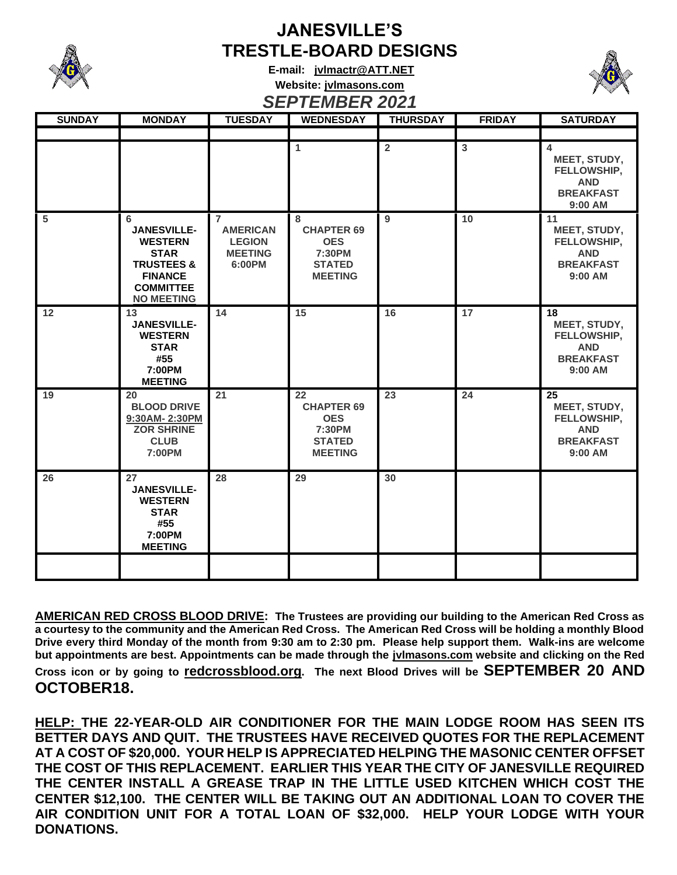

## **JANESVILLE'S TRESTLE-BOARD DESIGNS**

**E-mail: [jvlmactr@ATT.NET](mailto:jvlmactr@ATT.NET) Website: jvlmasons.com** *SEPTEMBER 2021*



| <b>SUNDAY</b>  | <b>MONDAY</b>                                                                                                                                | ◡▃▁<br><b>TUESDAY</b>                                                          | 1 LIIIDLIN 474 I<br><b>WEDNESDAY</b>                                               | <b>THURSDAY</b> | <b>FRIDAY</b> | <b>SATURDAY</b>                                                                                     |
|----------------|----------------------------------------------------------------------------------------------------------------------------------------------|--------------------------------------------------------------------------------|------------------------------------------------------------------------------------|-----------------|---------------|-----------------------------------------------------------------------------------------------------|
|                |                                                                                                                                              |                                                                                |                                                                                    |                 |               |                                                                                                     |
|                |                                                                                                                                              |                                                                                | $\overline{1}$                                                                     | $\overline{2}$  | 3             | $\overline{\mathbf{4}}$<br>MEET, STUDY,<br>FELLOWSHIP,<br><b>AND</b><br><b>BREAKFAST</b><br>9:00 AM |
| $5\phantom{1}$ | 6<br><b>JANESVILLE-</b><br><b>WESTERN</b><br><b>STAR</b><br><b>TRUSTEES &amp;</b><br><b>FINANCE</b><br><b>COMMITTEE</b><br><b>NO MEETING</b> | $\overline{7}$<br><b>AMERICAN</b><br><b>LEGION</b><br><b>MEETING</b><br>6:00PM | 8<br><b>CHAPTER 69</b><br><b>OES</b><br>7:30PM<br><b>STATED</b><br><b>MEETING</b>  | 9               | 10            | 11<br>MEET, STUDY,<br>FELLOWSHIP,<br><b>AND</b><br><b>BREAKFAST</b><br>9:00 AM                      |
| 12             | 13<br><b>JANESVILLE-</b><br><b>WESTERN</b><br><b>STAR</b><br>#55<br>7:00PM<br><b>MEETING</b>                                                 | 14                                                                             | 15                                                                                 | 16              | 17            | 18<br>MEET, STUDY,<br>FELLOWSHIP,<br><b>AND</b><br><b>BREAKFAST</b><br>9:00 AM                      |
| 19             | 20<br><b>BLOOD DRIVE</b><br>9:30AM-2:30PM<br><b>ZOR SHRINE</b><br><b>CLUB</b><br>7:00PM                                                      | 21                                                                             | 22<br><b>CHAPTER 69</b><br><b>OES</b><br>7:30PM<br><b>STATED</b><br><b>MEETING</b> | 23              | 24            | 25<br>MEET, STUDY,<br>FELLOWSHIP,<br><b>AND</b><br><b>BREAKFAST</b><br>9:00 AM                      |
| 26             | 27<br><b>JANESVILLE-</b><br><b>WESTERN</b><br><b>STAR</b><br>#55<br>7:00PM<br><b>MEETING</b>                                                 | 28                                                                             | 29                                                                                 | 30              |               |                                                                                                     |
|                |                                                                                                                                              |                                                                                |                                                                                    |                 |               |                                                                                                     |

**AMERICAN RED CROSS BLOOD DRIVE: The Trustees are providing our building to the American Red Cross as a courtesy to the community and the American Red Cross. The American Red Cross will be holding a monthly Blood Drive every third Monday of the month from 9:30 am to 2:30 pm. Please help support them. Walk-ins are welcome but appointments are best. Appointments can be made through the jvlmasons.com website and clicking on the Red Cross icon or by going to redcrossblood.org. The next Blood Drives will be SEPTEMBER 20 AND OCTOBER18.** 

**HELP: THE 22-YEAR-OLD AIR CONDITIONER FOR THE MAIN LODGE ROOM HAS SEEN ITS BETTER DAYS AND QUIT. THE TRUSTEES HAVE RECEIVED QUOTES FOR THE REPLACEMENT AT A COST OF \$20,000. YOUR HELP IS APPRECIATED HELPING THE MASONIC CENTER OFFSET THE COST OF THIS REPLACEMENT. EARLIER THIS YEAR THE CITY OF JANESVILLE REQUIRED THE CENTER INSTALL A GREASE TRAP IN THE LITTLE USED KITCHEN WHICH COST THE CENTER \$12,100. THE CENTER WILL BE TAKING OUT AN ADDITIONAL LOAN TO COVER THE AIR CONDITION UNIT FOR A TOTAL LOAN OF \$32,000. HELP YOUR LODGE WITH YOUR DONATIONS.**